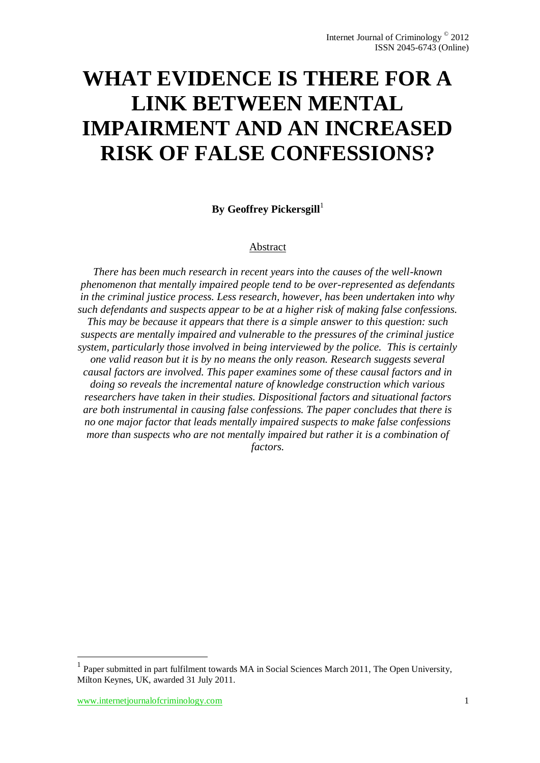# **WHAT EVIDENCE IS THERE FOR A LINK BETWEEN MENTAL IMPAIRMENT AND AN INCREASED RISK OF FALSE CONFESSIONS?**

**By Geoffrey Pickersgill** 

## Abstract

*There has been much research in recent years into the causes of the well-known phenomenon that mentally impaired people tend to be over-represented as defendants in the criminal justice process. Less research, however, has been undertaken into why such defendants and suspects appear to be at a higher risk of making false confessions. This may be because it appears that there is a simple answer to this question: such suspects are mentally impaired and vulnerable to the pressures of the criminal justice system, particularly those involved in being interviewed by the police. This is certainly one valid reason but it is by no means the only reason. Research suggests several causal factors are involved. This paper examines some of these causal factors and in doing so reveals the incremental nature of knowledge construction which various researchers have taken in their studies. Dispositional factors and situational factors are both instrumental in causing false confessions. The paper concludes that there is no one major factor that leads mentally impaired suspects to make false confessions more than suspects who are not mentally impaired but rather it is a combination of factors.*

 $\overline{a}$ 

<sup>1</sup> Paper submitted in part fulfilment towards MA in Social Sciences March 2011, The Open University, Milton Keynes, UK, awarded 31 July 2011.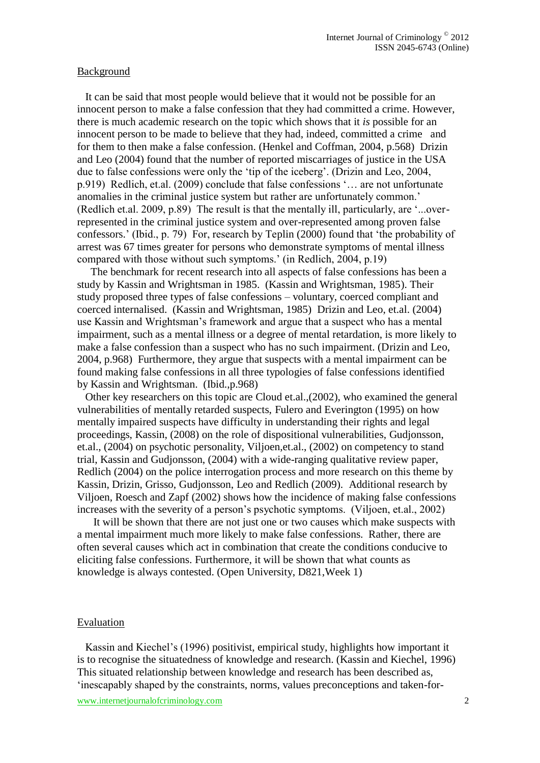### Background

 It can be said that most people would believe that it would not be possible for an innocent person to make a false confession that they had committed a crime. However, there is much academic research on the topic which shows that it *is* possible for an innocent person to be made to believe that they had, indeed, committed a crime and for them to then make a false confession. (Henkel and Coffman, 2004, p.568) Drizin and Leo (2004) found that the number of reported miscarriages of justice in the USA due to false confessions were only the 'tip of the iceberg'. (Drizin and Leo, 2004, p.919) Redlich, et.al. (2009) conclude that false confessions '… are not unfortunate anomalies in the criminal justice system but rather are unfortunately common.' (Redlich et.al. 2009, p.89) The result is that the mentally ill, particularly, are '...overrepresented in the criminal justice system and over-represented among proven false confessors.' (Ibid., p. 79) For, research by Teplin (2000) found that 'the probability of arrest was 67 times greater for persons who demonstrate symptoms of mental illness compared with those without such symptoms.' (in Redlich, 2004, p.19)

 The benchmark for recent research into all aspects of false confessions has been a study by Kassin and Wrightsman in 1985. (Kassin and Wrightsman, 1985). Their study proposed three types of false confessions – voluntary, coerced compliant and coerced internalised. (Kassin and Wrightsman, 1985) Drizin and Leo, et.al. (2004) use Kassin and Wrightsman's framework and argue that a suspect who has a mental impairment, such as a mental illness or a degree of mental retardation, is more likely to make a false confession than a suspect who has no such impairment. (Drizin and Leo, 2004, p.968) Furthermore, they argue that suspects with a mental impairment can be found making false confessions in all three typologies of false confessions identified by Kassin and Wrightsman. (Ibid.,p.968)

 Other key researchers on this topic are Cloud et.al.,(2002), who examined the general vulnerabilities of mentally retarded suspects, Fulero and Everington (1995) on how mentally impaired suspects have difficulty in understanding their rights and legal proceedings, Kassin, (2008) on the role of dispositional vulnerabilities, Gudjonsson, et.al., (2004) on psychotic personality, Viljoen,et.al., (2002) on competency to stand trial, Kassin and Gudjonsson, (2004) with a wide-ranging qualitative review paper, Redlich (2004) on the police interrogation process and more research on this theme by Kassin, Drizin, Grisso, Gudjonsson, Leo and Redlich (2009). Additional research by Viljoen, Roesch and Zapf (2002) shows how the incidence of making false confessions increases with the severity of a person's psychotic symptoms. (Viljoen, et.al., 2002)

 It will be shown that there are not just one or two causes which make suspects with a mental impairment much more likely to make false confessions. Rather, there are often several causes which act in combination that create the conditions conducive to eliciting false confessions. Furthermore, it will be shown that what counts as knowledge is always contested. (Open University, D821,Week 1)

#### Evaluation

 Kassin and Kiechel's (1996) positivist, empirical study, highlights how important it is to recognise the situatedness of knowledge and research. (Kassin and Kiechel, 1996) This situated relationship between knowledge and research has been described as, 'inescapably shaped by the constraints, norms, values preconceptions and taken-for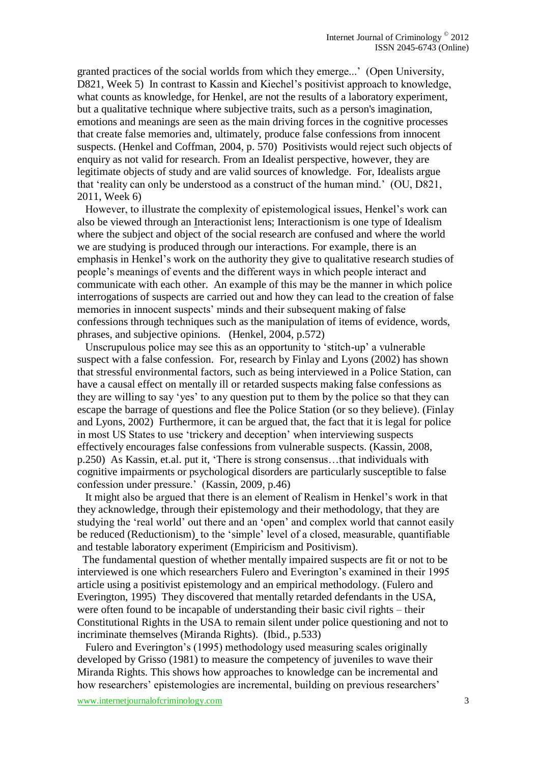granted practices of the social worlds from which they emerge...' (Open University, D821, Week 5) In contrast to Kassin and Kiechel's positivist approach to knowledge, what counts as knowledge, for Henkel, are not the results of a laboratory experiment, but a qualitative technique where subjective traits, such as a person's imagination, emotions and meanings are seen as the main driving forces in the cognitive processes that create false memories and, ultimately, produce false confessions from innocent suspects. (Henkel and Coffman, 2004, p. 570) Positivists would reject such objects of enquiry as not valid for research. From an Idealist perspective, however, they are legitimate objects of study and are valid sources of knowledge. For, Idealists argue that 'reality can only be understood as a construct of the human mind.' (OU, D821, 2011, Week 6)

 However, to illustrate the complexity of epistemological issues, Henkel's work can also be viewed through an Interactionist lens; Interactionism is one type of Idealism where the subject and object of the social research are confused and where the world we are studying is produced through our interactions. For example, there is an emphasis in Henkel's work on the authority they give to qualitative research studies of people's meanings of events and the different ways in which people interact and communicate with each other. An example of this may be the manner in which police interrogations of suspects are carried out and how they can lead to the creation of false memories in innocent suspects' minds and their subsequent making of false confessions through techniques such as the manipulation of items of evidence, words, phrases, and subjective opinions. (Henkel, 2004, p.572)

 Unscrupulous police may see this as an opportunity to 'stitch-up' a vulnerable suspect with a false confession. For, research by Finlay and Lyons (2002) has shown that stressful environmental factors, such as being interviewed in a Police Station, can have a causal effect on mentally ill or retarded suspects making false confessions as they are willing to say 'yes' to any question put to them by the police so that they can escape the barrage of questions and flee the Police Station (or so they believe). (Finlay and Lyons, 2002) Furthermore, it can be argued that, the fact that it is legal for police in most US States to use 'trickery and deception' when interviewing suspects effectively encourages false confessions from vulnerable suspects. (Kassin, 2008, p.250) As Kassin, et.al. put it, 'There is strong consensus…that individuals with cognitive impairments or psychological disorders are particularly susceptible to false confession under pressure.' (Kassin, 2009, p.46)

 It might also be argued that there is an element of Realism in Henkel's work in that they acknowledge, through their epistemology and their methodology, that they are studying the 'real world' out there and an 'open' and complex world that cannot easily be reduced (Reductionism) to the 'simple' level of a closed, measurable, quantifiable and testable laboratory experiment (Empiricism and Positivism).

 The fundamental question of whether mentally impaired suspects are fit or not to be interviewed is one which researchers Fulero and Everington's examined in their 1995 article using a positivist epistemology and an empirical methodology. (Fulero and Everington, 1995) They discovered that mentally retarded defendants in the USA, were often found to be incapable of understanding their basic civil rights – their Constitutional Rights in the USA to remain silent under police questioning and not to incriminate themselves (Miranda Rights). (Ibid., p.533)

 Fulero and Everington's (1995) methodology used measuring scales originally developed by Grisso (1981) to measure the competency of juveniles to wave their Miranda Rights. This shows how approaches to knowledge can be incremental and how researchers' epistemologies are incremental, building on previous researchers'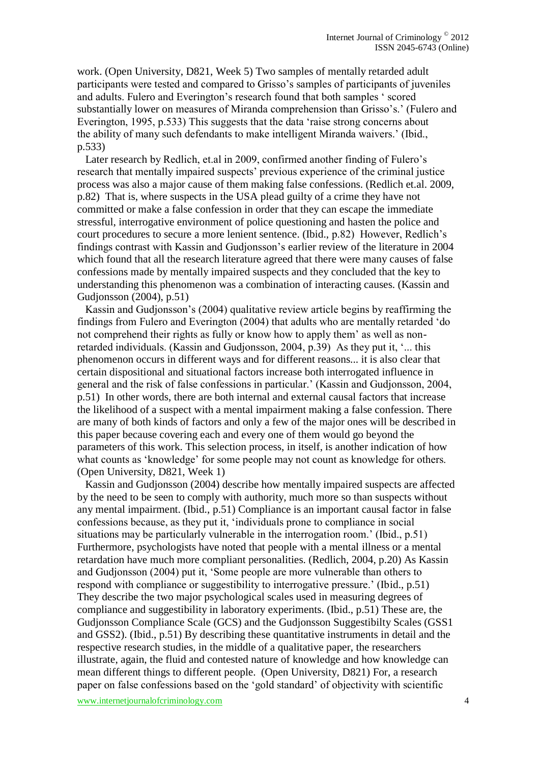work. (Open University, D821, Week 5) Two samples of mentally retarded adult participants were tested and compared to Grisso's samples of participants of juveniles and adults. Fulero and Everington's research found that both samples ' scored substantially lower on measures of Miranda comprehension than Grisso's.' (Fulero and Everington, 1995, p.533) This suggests that the data 'raise strong concerns about the ability of many such defendants to make intelligent Miranda waivers.' (Ibid., p.533)

 Later research by Redlich, et.al in 2009, confirmed another finding of Fulero's research that mentally impaired suspects' previous experience of the criminal justice process was also a major cause of them making false confessions. (Redlich et.al. 2009, p.82) That is, where suspects in the USA plead guilty of a crime they have not committed or make a false confession in order that they can escape the immediate stressful, interrogative environment of police questioning and hasten the police and court procedures to secure a more lenient sentence. (Ibid., p.82) However, Redlich's findings contrast with Kassin and Gudjonsson's earlier review of the literature in 2004 which found that all the research literature agreed that there were many causes of false confessions made by mentally impaired suspects and they concluded that the key to understanding this phenomenon was a combination of interacting causes. (Kassin and Gudjonsson (2004), p.51)

 Kassin and Gudjonsson's (2004) qualitative review article begins by reaffirming the findings from Fulero and Everington (2004) that adults who are mentally retarded 'do not comprehend their rights as fully or know how to apply them' as well as nonretarded individuals. (Kassin and Gudjonsson, 2004, p.39) As they put it, '... this phenomenon occurs in different ways and for different reasons... it is also clear that certain dispositional and situational factors increase both interrogated influence in general and the risk of false confessions in particular.' (Kassin and Gudjonsson, 2004, p.51) In other words, there are both internal and external causal factors that increase the likelihood of a suspect with a mental impairment making a false confession. There are many of both kinds of factors and only a few of the major ones will be described in this paper because covering each and every one of them would go beyond the parameters of this work. This selection process, in itself, is another indication of how what counts as 'knowledge' for some people may not count as knowledge for others. (Open University, D821, Week 1)

 Kassin and Gudjonsson (2004) describe how mentally impaired suspects are affected by the need to be seen to comply with authority, much more so than suspects without any mental impairment. (Ibid., p.51) Compliance is an important causal factor in false confessions because, as they put it, 'individuals prone to compliance in social situations may be particularly vulnerable in the interrogation room.' (Ibid., p.51) Furthermore, psychologists have noted that people with a mental illness or a mental retardation have much more compliant personalities. (Redlich, 2004, p.20) As Kassin and Gudjonsson (2004) put it, 'Some people are more vulnerable than others to respond with compliance or suggestibility to interrogative pressure.' (Ibid., p.51) They describe the two major psychological scales used in measuring degrees of compliance and suggestibility in laboratory experiments. (Ibid., p.51) These are, the Gudjonsson Compliance Scale (GCS) and the Gudjonsson Suggestibilty Scales (GSS1 and GSS2). (Ibid., p.51) By describing these quantitative instruments in detail and the respective research studies, in the middle of a qualitative paper, the researchers illustrate, again, the fluid and contested nature of knowledge and how knowledge can mean different things to different people. (Open University, D821) For, a research paper on false confessions based on the 'gold standard' of objectivity with scientific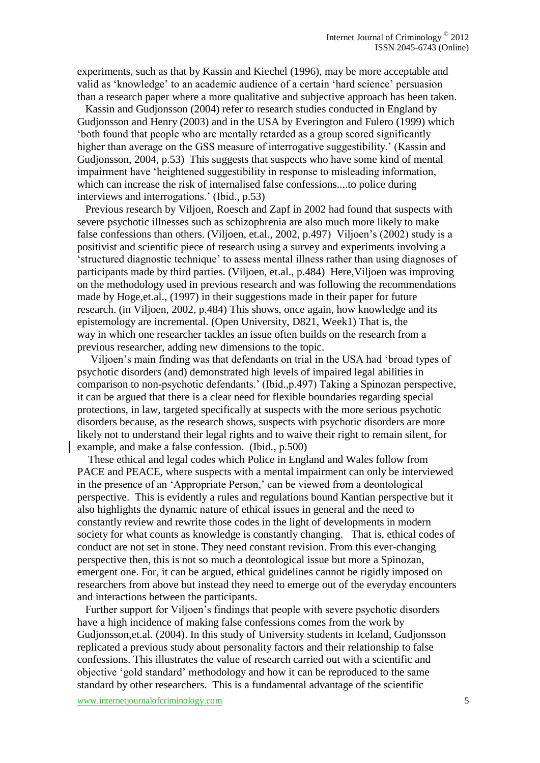experiments, such as that by Kassin and Kiechel (1996), may be more acceptable and valid as 'knowledge' to an academic audience of a certain 'hard science' persuasion than a research paper where a more qualitative and subjective approach has been taken.

 Kassin and Gudjonsson (2004) refer to research studies conducted in England by Gudjonsson and Henry (2003) and in the USA by Everington and Fulero (1999) which 'both found that people who are mentally retarded as a group scored significantly higher than average on the GSS measure of interrogative suggestibility.' (Kassin and Gudjonsson, 2004, p.53) This suggests that suspects who have some kind of mental impairment have 'heightened suggestibility in response to misleading information, which can increase the risk of internalised false confessions....to police during interviews and interrogations.' (Ibid., p.53)

 Previous research by Viljoen, Roesch and Zapf in 2002 had found that suspects with severe psychotic illnesses such as schizophrenia are also much more likely to make false confessions than others. (Viljoen, et.al., 2002, p.497) Viljoen's (2002) study is a positivist and scientific piece of research using a survey and experiments involving a 'structured diagnostic technique' to assess mental illness rather than using diagnoses of participants made by third parties. (Viljoen, et.al., p.484) Here,Viljoen was improving on the methodology used in previous research and was following the recommendations made by Hoge,et.al., (1997) in their suggestions made in their paper for future research. (in Viljoen, 2002, p.484) This shows, once again, how knowledge and its epistemology are incremental. (Open University, D821, Week1) That is, the way in which one researcher tackles an issue often builds on the research from a previous researcher, adding new dimensions to the topic.

 Viljoen's main finding was that defendants on trial in the USA had 'broad types of psychotic disorders (and) demonstrated high levels of impaired legal abilities in comparison to non-psychotic defendants.' (Ibid.,p.497) Taking a Spinozan perspective, it can be argued that there is a clear need for flexible boundaries regarding special protections, in law, targeted specifically at suspects with the more serious psychotic disorders because, as the research shows, suspects with psychotic disorders are more likely not to understand their legal rights and to waive their right to remain silent, for example, and make a false confession. (Ibid., p.500)

 These ethical and legal codes which Police in England and Wales follow from PACE and PEACE, where suspects with a mental impairment can only be interviewed in the presence of an 'Appropriate Person,' can be viewed from a deontological perspective. This is evidently a rules and regulations bound Kantian perspective but it also highlights the dynamic nature of ethical issues in general and the need to constantly review and rewrite those codes in the light of developments in modern society for what counts as knowledge is constantly changing. That is, ethical codes of conduct are not set in stone. They need constant revision. From this ever-changing perspective then, this is not so much a deontological issue but more a Spinozan, emergent one. For, it can be argued, ethical guidelines cannot be rigidly imposed on researchers from above but instead they need to emerge out of the everyday encounters and interactions between the participants.

 Further support for Viljoen's findings that people with severe psychotic disorders have a high incidence of making false confessions comes from the work by Gudjonsson,et.al. (2004). In this study of University students in Iceland, Gudjonsson replicated a previous study about personality factors and their relationship to false confessions. This illustrates the value of research carried out with a scientific and objective 'gold standard' methodology and how it can be reproduced to the same standard by other researchers. This is a fundamental advantage of the scientific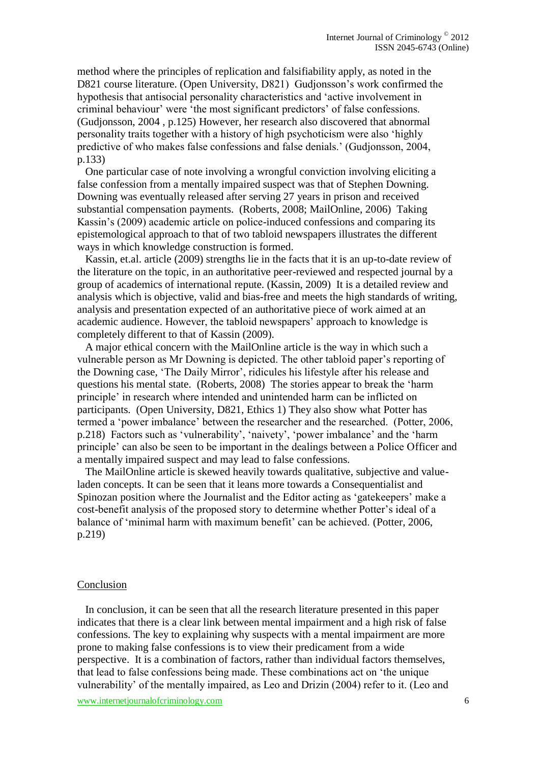method where the principles of replication and falsifiability apply, as noted in the D821 course literature. (Open University, D821) Gudjonsson's work confirmed the hypothesis that antisocial personality characteristics and 'active involvement in criminal behaviour' were 'the most significant predictors' of false confessions. (Gudjonsson, 2004 , p.125) However, her research also discovered that abnormal personality traits together with a history of high psychoticism were also 'highly predictive of who makes false confessions and false denials.' (Gudjonsson, 2004, p.133)

 One particular case of note involving a wrongful conviction involving eliciting a false confession from a mentally impaired suspect was that of Stephen Downing. Downing was eventually released after serving 27 years in prison and received substantial compensation payments. (Roberts, 2008; MailOnline, 2006) Taking Kassin's (2009) academic article on police-induced confessions and comparing its epistemological approach to that of two tabloid newspapers illustrates the different ways in which knowledge construction is formed.

 Kassin, et.al. article (2009) strengths lie in the facts that it is an up-to-date review of the literature on the topic, in an authoritative peer-reviewed and respected journal by a group of academics of international repute. (Kassin, 2009) It is a detailed review and analysis which is objective, valid and bias-free and meets the high standards of writing, analysis and presentation expected of an authoritative piece of work aimed at an academic audience. However, the tabloid newspapers' approach to knowledge is completely different to that of Kassin (2009).

 A major ethical concern with the MailOnline article is the way in which such a vulnerable person as Mr Downing is depicted. The other tabloid paper's reporting of the Downing case, 'The Daily Mirror', ridicules his lifestyle after his release and questions his mental state. (Roberts, 2008) The stories appear to break the 'harm principle' in research where intended and unintended harm can be inflicted on participants. (Open University, D821, Ethics 1) They also show what Potter has termed a 'power imbalance' between the researcher and the researched. (Potter, 2006, p.218) Factors such as 'vulnerability', 'naivety', 'power imbalance' and the 'harm principle' can also be seen to be important in the dealings between a Police Officer and a mentally impaired suspect and may lead to false confessions.

 The MailOnline article is skewed heavily towards qualitative, subjective and valueladen concepts. It can be seen that it leans more towards a Consequentialist and Spinozan position where the Journalist and the Editor acting as 'gatekeepers' make a cost-benefit analysis of the proposed story to determine whether Potter's ideal of a balance of 'minimal harm with maximum benefit' can be achieved. (Potter, 2006, p.219)

#### Conclusion

 In conclusion, it can be seen that all the research literature presented in this paper indicates that there is a clear link between mental impairment and a high risk of false confessions. The key to explaining why suspects with a mental impairment are more prone to making false confessions is to view their predicament from a wide perspective. It is a combination of factors, rather than individual factors themselves, that lead to false confessions being made. These combinations act on 'the unique vulnerability' of the mentally impaired, as Leo and Drizin (2004) refer to it. (Leo and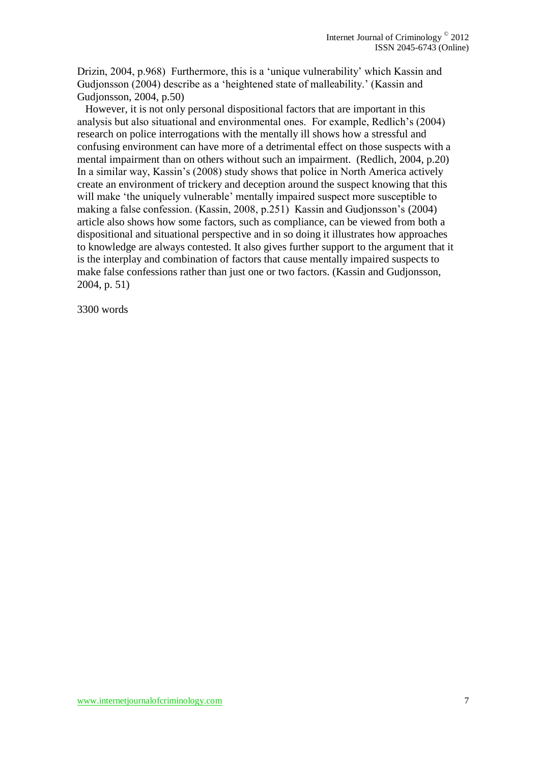Drizin, 2004, p.968) Furthermore, this is a 'unique vulnerability' which Kassin and Gudjonsson (2004) describe as a 'heightened state of malleability.' (Kassin and Gudjonsson, 2004, p.50)

 However, it is not only personal dispositional factors that are important in this analysis but also situational and environmental ones. For example, Redlich's (2004) research on police interrogations with the mentally ill shows how a stressful and confusing environment can have more of a detrimental effect on those suspects with a mental impairment than on others without such an impairment. (Redlich, 2004, p.20) In a similar way, Kassin's (2008) study shows that police in North America actively create an environment of trickery and deception around the suspect knowing that this will make 'the uniquely vulnerable' mentally impaired suspect more susceptible to making a false confession. (Kassin, 2008, p.251) Kassin and Gudjonsson's (2004) article also shows how some factors, such as compliance, can be viewed from both a dispositional and situational perspective and in so doing it illustrates how approaches to knowledge are always contested. It also gives further support to the argument that it is the interplay and combination of factors that cause mentally impaired suspects to make false confessions rather than just one or two factors. (Kassin and Gudjonsson, 2004, p. 51)

3300 words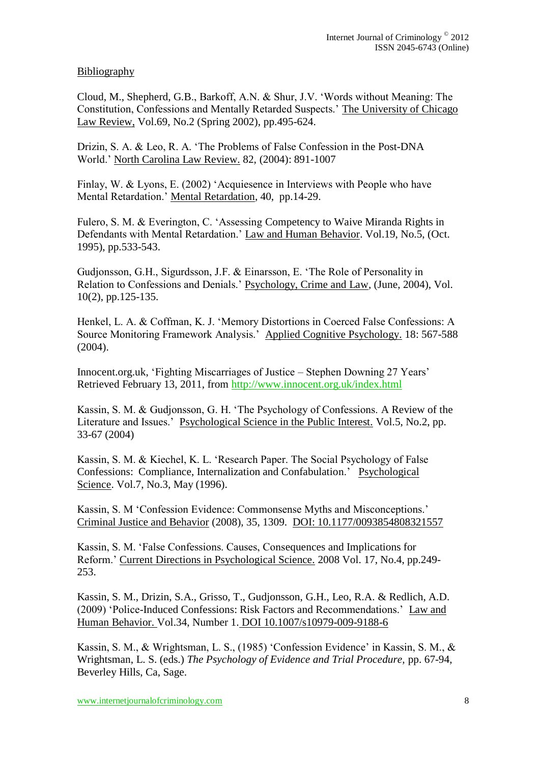## Bibliography

Cloud, M., Shepherd, G.B., Barkoff, A.N. & Shur, J.V. 'Words without Meaning: The Constitution, Confessions and Mentally Retarded Suspects.' The University of Chicago Law Review, Vol.69, No.2 (Spring 2002), pp.495-624.

Drizin, S. A. & Leo, R. A. 'The Problems of False Confession in the Post-DNA World.' North Carolina Law Review. 82, (2004): 891-1007

Finlay, W. & Lyons, E. (2002) 'Acquiesence in Interviews with People who have Mental Retardation.' Mental Retardation, 40, pp.14-29.

Fulero, S. M. & Everington, C. 'Assessing Competency to Waive Miranda Rights in Defendants with Mental Retardation.' Law and Human Behavior. Vol.19, No.5, (Oct. 1995), pp.533-543.

Gudjonsson, G.H., Sigurdsson, J.F. & Einarsson, E. 'The Role of Personality in Relation to Confessions and Denials.' Psychology, Crime and Law, (June, 2004), Vol. 10(2), pp.125-135.

Henkel, L. A. & Coffman, K. J. 'Memory Distortions in Coerced False Confessions: A Source Monitoring Framework Analysis.' Applied Cognitive Psychology. 18: 567-588 (2004).

Innocent.org.uk, 'Fighting Miscarriages of Justice – Stephen Downing 27 Years' Retrieved February 13, 2011, from<http://www.innocent.org.uk/index.html>

Kassin, S. M. & Gudjonsson, G. H. 'The Psychology of Confessions. A Review of the Literature and Issues.' Psychological Science in the Public Interest. Vol.5, No.2, pp. 33-67 (2004)

Kassin, S. M. & Kiechel, K. L. 'Research Paper. The Social Psychology of False Confessions: Compliance, Internalization and Confabulation.' Psychological Science. Vol.7, No.3, May (1996).

Kassin, S. M 'Confession Evidence: Commonsense Myths and Misconceptions.' Criminal Justice and Behavior (2008), 35, 1309. DOI: 10.1177/0093854808321557

Kassin, S. M. 'False Confessions. Causes, Consequences and Implications for Reform.' Current Directions in Psychological Science. 2008 Vol. 17, No.4, pp.249- 253.

Kassin, S. M., Drizin, S.A., Grisso, T., Gudjonsson, G.H., Leo, R.A. & Redlich, A.D. (2009) 'Police-Induced Confessions: Risk Factors and Recommendations.' Law and Human Behavior. Vol.34, Number 1. DOI 10.1007/s10979-009-9188-6

Kassin, S. M., & Wrightsman, L. S., (1985) 'Confession Evidence' in Kassin, S. M., & Wrightsman, L. S. (eds.) *The Psychology of Evidence and Trial Procedure,* pp. 67-94, Beverley Hills, Ca, Sage.